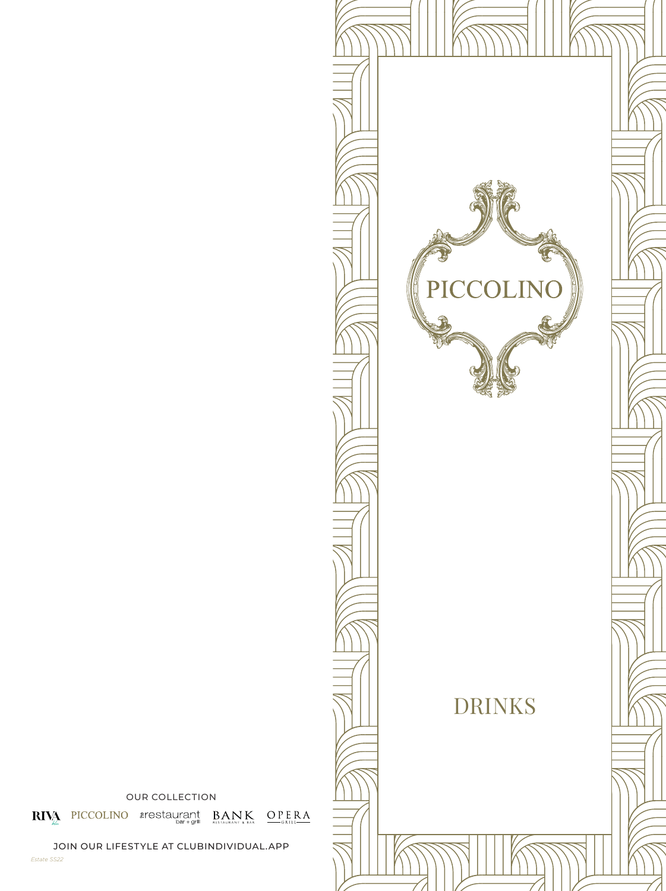

OUR COLLECTION

 $\textbf{RIN}^{\textbf{A}}_{\textbf{A}\textbf{A}} \text{ PICCOLINO} \text{~arestaurant} \text{~}\text{BAN}^{\textbf{K}}_{\text{bary all}} \text{~}\text{~}\text{OPE,RA}^{\textbf{A}}$ 

JOIN OUR LIFESTYLE AT CLUBINDIVIDUAL.APP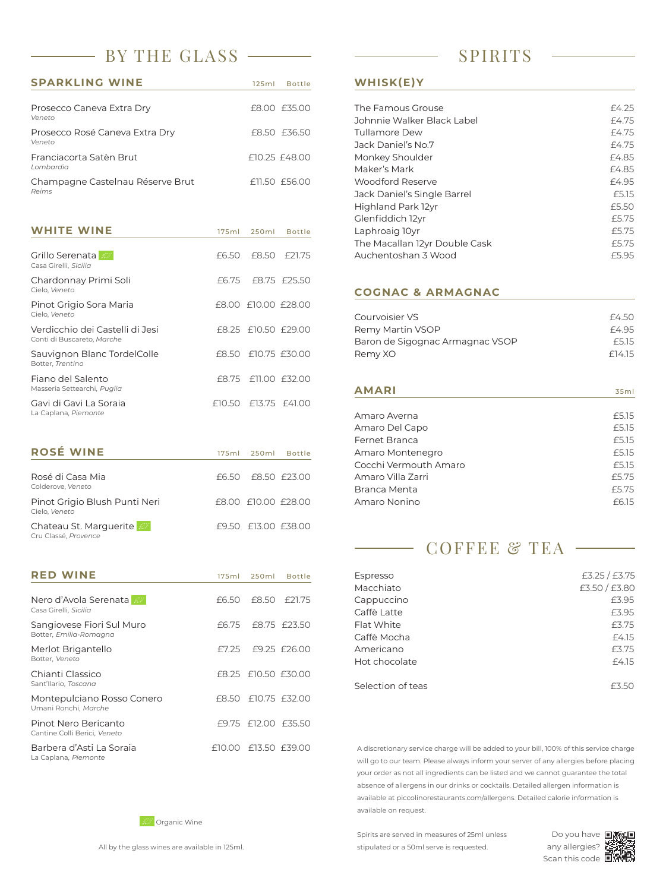## BY THE GLASS — SPIRITS

| <b>SPARKLING WINE</b>                     | 125ml Bottle  |
|-------------------------------------------|---------------|
| Prosecco Caneva Extra Dry<br>Veneto       | £8.00 £35.00  |
| Prosecco Rosé Caneva Extra Dry<br>Veneto  | £8.50 £36.50  |
| Franciacorta Satèn Brut<br>I ombardia     | £10.25 £48.00 |
| Champagne Castelnau Réserve Brut<br>Reims | f11.50 f56.00 |

| <b>WHITE WINE</b>                                             | 175ml | 250ml                  | <b>Bottle</b> |
|---------------------------------------------------------------|-------|------------------------|---------------|
| Grillo Serenata<br>Casa Girelli, Sicilia                      | £6.50 |                        | F8.50 F21.75  |
| Chardonnay Primi Soli<br>Cielo, Veneto                        | £6.75 |                        | £8.75 £25.50  |
| Pinot Grigio Sora Maria<br>Cielo, Veneto                      |       | £8.00 £10.00 £28.00    |               |
| Verdicchio dei Castelli di Jesi<br>Conti di Buscareto, Marche |       | £8.25 £10.50 £29.00    |               |
| Sauvignon Blanc TordelColle<br>Botter, Trentino               |       | £8.50 £10.75 £30.00    |               |
| Fiano del Salento<br>Masseria Settearchi, Puglia              | £8.75 |                        | £11.00 £32.00 |
| Gavi di Gavi La Soraja<br>La Caplana, Piemonte                |       | $£10.50$ £13.75 £41.00 |               |

| <b>ROSE WINE</b>                               |  | 175ml 250ml Bottle  |
|------------------------------------------------|--|---------------------|
| Rosé di Casa Mia<br>Colderove, Veneto          |  | £6.50 £8.50 £23.00  |
| Pinot Grigio Blush Punti Neri<br>Cielo, Veneto |  | £8.00 £10.00 £28.00 |
| Chateau St. Marguerite<br>Cru Classé, Provence |  | £9.50 £13.00 £38.00 |

| <b>RED WINE</b>                                      | 175ml | 250ml                  | <b>Bottle</b>       |
|------------------------------------------------------|-------|------------------------|---------------------|
| Nero d'Avola Serenata<br>Casa Girelli, Sicilia       | £6.50 |                        | £8.50 £21.75        |
| Sangiovese Fiori Sul Muro<br>Botter, Emilia-Romagna  | £6.75 |                        | £8.75 £23.50        |
| Merlot Brigantello<br>Botter, Veneto                 | F7.25 |                        | £9.25 £26.00        |
| Chianti Classico<br>Sant'Ilario, Toscana             |       | £8.25 £10.50 £30.00    |                     |
| Montepulciano Rosso Conero<br>Umani Ronchi, Marche   |       | £8.50 £10.75 £32.00    |                     |
| Pinot Nero Bericanto<br>Cantine Colli Berici, Veneto |       |                        | £9.75 £12.00 £35.50 |
| Barbera d'Asti La Soraia<br>La Caplana, Piemonte     |       | $£10.00$ £13.50 £39.00 |                     |

#### **WHISK(E)Y**

| The Famous Grouse             | £4.25 |
|-------------------------------|-------|
| Johnnie Walker Black Label    | £4.75 |
| Tullamore Dew                 | £4.75 |
| Jack Daniel's No.7            | £4.75 |
| Monkey Shoulder               | £4.85 |
| Maker's Mark                  | £4.85 |
| Woodford Reserve              | £4.95 |
| Jack Daniel's Single Barrel   | £5.15 |
| Highland Park 12yr            | £5.50 |
| Glenfiddich 12yr              | f5.75 |
| Laphroaig 10yr                | £5.75 |
| The Macallan 12yr Double Cask | £5.75 |
| Auchentoshan 3 Wood           | £5.95 |

#### **COGNAC & ARMAGNAC**

| Courvoisier VS                  | £4.50  |
|---------------------------------|--------|
| Remy Martin VSOP                | £4.95  |
| Baron de Sigognac Armagnac VSOP | £5.15  |
| Remy XO                         | £14.15 |

| <b>AMARI</b>          | 35ml  |
|-----------------------|-------|
|                       |       |
| Amaro Averna          | £5.15 |
| Amaro Del Capo        | £5.15 |
| <b>Fernet Branca</b>  | £5.15 |
| Amaro Montenegro      | £5.15 |
| Cocchi Vermouth Amaro | £5.15 |
| Amaro Villa Zarri     | £5.75 |
| Branca Menta          | £5.75 |
| Amaro Nonino          | f6.15 |
|                       |       |

|                   | <b>COFFEE &amp; TEA</b> |
|-------------------|-------------------------|
| Espresso          | £3.25 / £3.75           |
| Macchiato         | £3.50 / £3.80           |
| Cappuccino        | £3.95                   |
| Caffè Latte       | £3.95                   |
| Flat White        | £3.75                   |
| Caffè Mocha       | £4.15                   |
| Americano         | £3.75                   |
| Hot chocolate     | £4.15                   |
| Selection of teas | F350                    |

A discretionary service charge will be added to your bill, 100% of this service charge will go to our team. Please always inform your server of any allergies before placing your order as not all ingredients can be listed and we cannot guarantee the total absence of allergens in our drinks or cocktails. Detailed allergen information is available at piccolinorestaurants.com/allergens. Detailed calorie information is available on request.

**EV** Organic Wine

All by the glass wines are available in 125ml.

Spirits are served in measures of 25ml unless stipulated or a 50ml serve is requested.



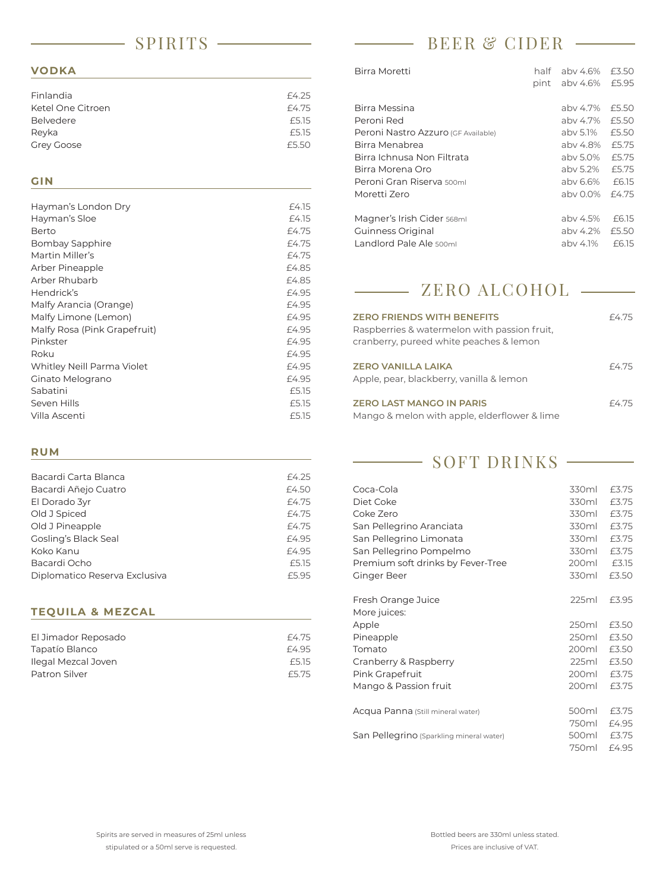### SPIRITS

#### **VODKA**

| Finlandia         | £4.25 |
|-------------------|-------|
| Ketel One Citroen | £4.75 |
| Belvedere         | £5.15 |
| Reyka             | £5.15 |
| <b>Grey Goose</b> | £5.50 |
|                   |       |

#### **GIN**

| Hayman's London Dry          | £4.15 |
|------------------------------|-------|
| Hayman's Sloe                | £4.15 |
| Berto                        | £4.75 |
| Bombay Sapphire              | £4.75 |
| Martin Miller's              | £4.75 |
| Arber Pineapple              | £4.85 |
| Arber Rhubarb                | £4.85 |
| Hendrick's                   | £4.95 |
| Malfy Arancia (Orange)       | £4.95 |
| Malfy Limone (Lemon)         | £4.95 |
| Malfy Rosa (Pink Grapefruit) | £4.95 |
| Pinkster                     | £4.95 |
| Roku                         | £4.95 |
| Whitley Neill Parma Violet   | £4.95 |
| Ginato Melograno             | £4.95 |
| Sabatini                     | £5.15 |
| Seven Hills                  | £5.15 |
| Villa Ascenti                | £5.15 |

#### **RUM**

| Bacardi Carta Blanca          | £4.25 |
|-------------------------------|-------|
| Bacardi Añejo Cuatro          | £4.50 |
| El Dorado 3yr                 | £4.75 |
| Old J Spiced                  | £4.75 |
| Old J Pineapple               | £4.75 |
| <b>Gosling's Black Seal</b>   | £4.95 |
| Koko Kanu                     | £4.95 |
| Bacardi Ocho                  | £5.15 |
| Diplomatico Reserva Exclusiva | £5.95 |
|                               |       |

#### **TEQUILA & MEZCAL**

| El Jimador Reposado | £4.75 |
|---------------------|-------|
| Tapatío Blanco      | F4.95 |
| Ilegal Mezcal Joven | £5.15 |
| Patron Silver       | £5.75 |

# BEER & CIDER

| Birra Moretti                       | half | aby 4.6% | £3.50 |
|-------------------------------------|------|----------|-------|
|                                     | pint | abv 4.6% | £5.95 |
|                                     |      |          |       |
| Birra Messina                       |      | aby 4.7% | £5.50 |
| Peroni Red                          |      | aby 4.7% | £5.50 |
| Peroni Nastro Azzuro (GF Available) |      | aby 5.1% | £5.50 |
| Birra Menabrea                      |      | aby 4.8% | £5.75 |
| Birra Ichnusa Non Filtrata          |      | aby 5.0% | £5.75 |
| Birra Morena Oro                    |      | aby 5.2% | £5.75 |
| Peroni Gran Riserva 500ml           |      | aby 6.6% | £6.15 |
| Moretti Zero                        |      | aby 0.0% | £4.75 |
|                                     |      |          |       |
| Magner's Irish Cider 568ml          |      | aby 4.5% | £6.15 |
| Guinness Original                   |      | aby 4.2% | £5.50 |
| Landlord Pale Ale 500ml             |      | aby 4.1% | £6.15 |
|                                     |      |          |       |

#### ZERO ALCOHOL $\begin{tabular}{lcccccc} \multicolumn{2}{c|}{\textbf{1} & \textbf{1} & \textbf{1} & \textbf{1} & \textbf{1} & \textbf{1} & \textbf{1} & \textbf{1} & \textbf{1} & \textbf{1} & \textbf{1} & \textbf{1} & \textbf{1} & \textbf{1} & \textbf{1} & \textbf{1} & \textbf{1} & \textbf{1} & \textbf{1} & \textbf{1} & \textbf{1} & \textbf{1} & \textbf{1} & \textbf{1} & \textbf{1} & \textbf{1} & \textbf{1} & \textbf{1} & \textbf{$

| <b>ZERO FRIENDS WITH BENEFITS</b><br>Raspberries & watermelon with passion fruit,<br>cranberry, pureed white peaches & lemon | £4.75 |
|------------------------------------------------------------------------------------------------------------------------------|-------|
| <b>ZERO VANILLA LAIKA</b><br>Apple, pear, blackberry, vanilla & lemon                                                        | £4.75 |
| <b>ZERO LAST MANGO IN PARIS</b>                                                                                              | £4.75 |

Mango & melon with apple, elderflower & lime

SOFT DRINKS

| Coca-Cola                                | 330ml | £3.75 |
|------------------------------------------|-------|-------|
| Diet Coke                                | 330ml | £3.75 |
| Coke Zero                                | 330ml | £3.75 |
| San Pellegrino Aranciata                 | 330ml | £3.75 |
| San Pellegrino Limonata                  | 330ml | £3.75 |
| San Pellegrino Pompelmo                  | 330ml | £3.75 |
| Premium soft drinks by Fever-Tree        | 200ml | £3.15 |
| Ginger Beer                              | 330ml | £3.50 |
| Fresh Orange Juice                       | 225ml | £3.95 |
| More juices:                             |       |       |
| Apple                                    | 250ml | £3.50 |
| Pineapple                                | 250ml | £3.50 |
| Tomato                                   | 200ml | £3.50 |
| Cranberry & Raspberry                    | 225ml | £3.50 |
| Pink Grapefruit                          | 200ml | £3.75 |
| Mango & Passion fruit                    | 200ml | £3.75 |
| Acqua Panna (Still mineral water)        | 500ml | £3.75 |
|                                          | 750ml | £4.95 |
| San Pellegrino (Sparkling mineral water) | 500ml | £3.75 |
|                                          | 750ml | £4.95 |